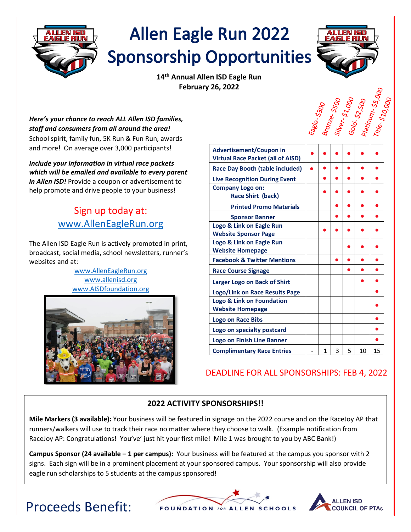

# **Allen Eagle Run 2022 Sponsorship Opportunities**



**14th Annual Allen ISD Eagle Run February 26, 2022**

Eagle- 5300<br>Bronze- 5500<br>Silver- 51,000<br>Gold- 52,500<br>Platinum- 55,000

*Here's your chance to reach ALL Allen ISD families, staff and consumers from all around the area!* School spirit, family fun, 5K Run & Fun Run, awards and more! On average over 3,000 participants!

*Include your information in virtual race packets which will be emailed and available to every parent in Allen ISD!* Provide a coupon or advertisement to help promote and drive people to your business!

### Sign up today at: [www.AllenEagleRun.org](http://www.alleneaglerun.org/)

The Allen ISD Eagle Run is actively promoted in print, broadcast, social media, school newsletters, runner's websites and at:

> [www.AllenEagleRun.org](http://www.alleneaglerun.org/) [www.allenisd.org](http://www.allenisd.org/) [www.AISDfoundation.org](http://www.aisdfoundation.org/)



| <b>Advertisement/Coupon in</b>                      |   |   |   |    |    |
|-----------------------------------------------------|---|---|---|----|----|
| <b>Virtual Race Packet (all of AISD)</b>            |   |   |   |    |    |
| <b>Race Day Booth (table included)</b>              |   |   |   |    |    |
| <b>Live Recognition During Event</b>                |   |   |   |    |    |
| <b>Company Logo on:</b><br><b>Race Shirt (back)</b> |   |   |   |    |    |
| <b>Printed Promo Materials</b>                      |   |   |   |    |    |
| <b>Sponsor Banner</b>                               |   |   |   |    |    |
| Logo & Link on Eagle Run                            |   |   |   |    |    |
| <b>Website Sponsor Page</b>                         |   |   |   |    |    |
| Logo & Link on Eagle Run                            |   |   |   |    |    |
| <b>Website Homepage</b>                             |   |   |   |    |    |
| <b>Facebook &amp; Twitter Mentions</b>              |   |   |   |    |    |
| <b>Race Course Signage</b>                          |   |   |   |    |    |
| Larger Logo on Back of Shirt                        |   |   |   |    |    |
| Logo/Link on Race Results Page                      |   |   |   |    |    |
| Logo & Link on Foundation                           |   |   |   |    |    |
| <b>Website Homepage</b>                             |   |   |   |    |    |
| <b>Logo on Race Bibs</b>                            |   |   |   |    |    |
| Logo on specialty postcard                          |   |   |   |    |    |
| Logo on Finish Line Banner                          |   |   |   |    |    |
| <b>Complimentary Race Entries</b>                   | 1 | 3 | 5 | 10 | 15 |

### DEADLINE FOR ALL SPONSORSHIPS: FEB 4, 2022

### **2022 ACTIVITY SPONSORSHIPS!!**

**Mile Markers (3 available):** Your business will be featured in signage on the 2022 course and on the RaceJoy AP that runners/walkers will use to track their race no matter where they choose to walk. (Example notification from RaceJoy AP: Congratulations! You've' just hit your first mile! Mile 1 was brought to you by ABC Bank!)

**Campus Sponsor (24 available – 1 per campus):** Your business will be featured at the campus you sponsor with 2 signs. Each sign will be in a prominent placement at your sponsored campus. Your sponsorship will also provide eagle run scholarships to 5 students at the campus sponsored!





## Proceeds Benefit: